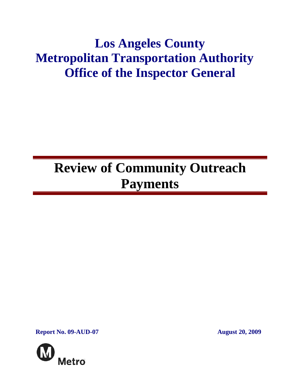# **Los Angeles County Metropolitan Transportation Authority Office of the Inspector General**

# **Review of Community Outreach Payments**

**Report No. 09-AUD-07 August 20, 2009** 

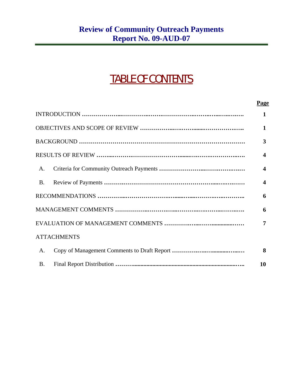## TABLE OF CONTENTS

#### **Page**

|                    | $\mathbf{1}$            |
|--------------------|-------------------------|
|                    | 1                       |
|                    | 3                       |
|                    | $\boldsymbol{4}$        |
| A.                 | $\overline{\mathbf{4}}$ |
| <b>B.</b>          | $\boldsymbol{4}$        |
|                    | 6                       |
|                    | 6                       |
|                    | 7                       |
| <b>ATTACHMENTS</b> |                         |
| A.                 | 8                       |
| <b>B.</b>          | 10                      |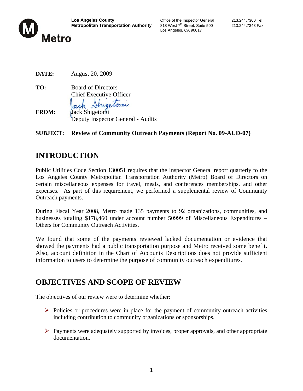

Los Angeles, CA 90017

| DATE: | <b>August 20, 2009</b> |
|-------|------------------------|
|       |                        |

**TO:** Board of Directors Chief Executive Officer rectorne **FROM: Jack Shigetomi** Deputy Inspector General - Audits

#### **SUBJECT: Review of Community Outreach Payments (Report No. 09-AUD-07)**

## **INTRODUCTION**

Public Utilities Code Section 130051 requires that the Inspector General report quarterly to the Los Angeles County Metropolitan Transportation Authority (Metro) Board of Directors on certain miscellaneous expenses for travel, meals, and conferences memberships, and other expenses. As part of this requirement, we performed a supplemental review of Community Outreach payments.

During Fiscal Year 2008, Metro made 135 payments to 92 organizations, communities, and businesses totaling \$178,460 under account number 50999 of Miscellaneous Expenditures – Others for Community Outreach Activities.

We found that some of the payments reviewed lacked documentation or evidence that showed the payments had a public transportation purpose and Metro received some benefit. Also, account definition in the Chart of Accounts Descriptions does not provide sufficient information to users to determine the purpose of community outreach expenditures.

## **OBJECTIVES AND SCOPE OF REVIEW**

The objectives of our review were to determine whether:

- $\triangleright$  Policies or procedures were in place for the payment of community outreach activities including contribution to community organizations or sponsorships.
- $\triangleright$  Payments were adequately supported by invoices, proper approvals, and other appropriate documentation.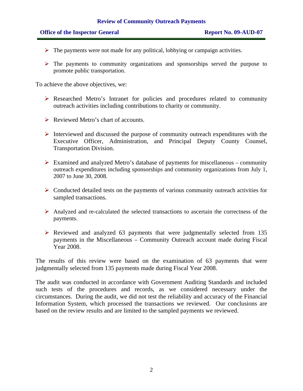- $\triangleright$  The payments were not made for any political, lobbying or campaign activities.
- $\triangleright$  The payments to community organizations and sponsorships served the purpose to promote public transportation.

To achieve the above objectives, we:

- ¾ Researched Metro's Intranet for policies and procedures related to community outreach activities including contributions to charity or community.
- $\triangleright$  Reviewed Metro's chart of accounts.
- $\triangleright$  Interviewed and discussed the purpose of community outreach expenditures with the Executive Officer, Administration, and Principal Deputy County Counsel, Transportation Division.
- $\triangleright$  Examined and analyzed Metro's database of payments for miscellaneous community outreach expenditures including sponsorships and community organizations from July 1, 2007 to June 30, 2008.
- $\triangleright$  Conducted detailed tests on the payments of various community outreach activities for sampled transactions.
- ¾ Analyzed and re-calculated the selected transactions to ascertain the correctness of the payments.
- $\triangleright$  Reviewed and analyzed 63 payments that were judgmentally selected from 135 payments in the Miscellaneous – Community Outreach account made during Fiscal Year 2008.

The results of this review were based on the examination of 63 payments that were judgmentally selected from 135 payments made during Fiscal Year 2008.

The audit was conducted in accordance with Government Auditing Standards and included such tests of the procedures and records, as we considered necessary under the circumstances. During the audit, we did not test the reliability and accuracy of the Financial Information System, which processed the transactions we reviewed. Our conclusions are based on the review results and are limited to the sampled payments we reviewed.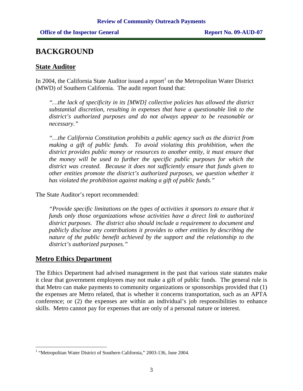## **BACKGROUND**

#### **State Auditor**

In 2004, the California State Auditor issued a report<sup>1</sup> on the Metropolitan Water District (MWD) of Southern California. The audit report found that:

*"…the lack of specificity in its [MWD] collective policies has allowed the district substantial discretion, resulting in expenses that have a questionable link to the district's authorized purposes and do not always appear to be reasonable or necessary."* 

*"…the California Constitution prohibits a public agency such as the district from making a gift of public funds. To avoid violating this prohibition, when the district provides public money or resources to another entity, it must ensure that the money will be used to further the specific public purposes for which the district was created. Because it does not sufficiently ensure that funds given to other entities promote the district's authorized purposes, we question whether it has violated the prohibition against making a gift of public funds."* 

The State Auditor's report recommended:

*"Provide specific limitations on the types of activities it sponsors to ensure that it funds only those organizations whose activities have a direct link to authorized district purposes. The district also should include a requirement to document and publicly disclose any contributions it provides to other entities by describing the nature of the public benefit achieved by the support and the relationship to the district's authorized purposes."* 

#### **Metro Ethics Department**

 $\overline{a}$ 

The Ethics Department had advised management in the past that various state statutes make it clear that government employees may not make a gift of public funds. The general rule is that Metro can make payments to community organizations or sponsorships provided that (1) the expenses are Metro related, that is whether it concerns transportation, such as an APTA conference; or (2) the expenses are within an individual's job responsibilities to enhance skills. Metro cannot pay for expenses that are only of a personal nature or interest.

<sup>&</sup>lt;sup>1</sup> "Metropolitan Water District of Southern California," 2003-136, June 2004.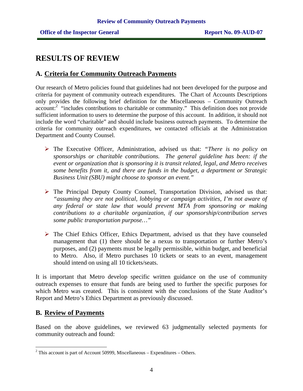### **RESULTS OF REVIEW**

#### **A. Criteria for Community Outreach Payments**

Our research of Metro policies found that guidelines had not been developed for the purpose and criteria for payment of community outreach expenditures. The Chart of Accounts Descriptions only provides the following brief definition for the Miscellaneous – Community Outreach account:<sup>2</sup> "includes contributions to charitable or community." This definition does not provide sufficient information to users to determine the purpose of this account. In addition, it should not include the word "charitable" and should include business outreach payments. To determine the criteria for community outreach expenditures, we contacted officials at the Administration Department and County Counsel.

- ¾ The Executive Officer, Administration, advised us that: *"There is no policy on sponsorships or charitable contributions. The general guideline has been: if the event or organization that is sponsoring it is transit related, legal, and Metro receives some benefits from it, and there are funds in the budget, a department or Strategic Business Unit (SBU) might choose to sponsor an event."*
- $\triangleright$  The Principal Deputy County Counsel, Transportation Division, advised us that: *"assuming they are not political, lobbying or campaign activities, I'm not aware of any federal or state law that would prevent MTA from sponsoring or making contributions to a charitable organization, if our sponsorship/contribution serves some public transportation purpose…"*
- $\triangleright$  The Chief Ethics Officer, Ethics Department, advised us that they have counseled management that (1) there should be a nexus to transportation or further Metro's purposes, and (2) payments must be legally permissible, within budget, and beneficial to Metro. Also, if Metro purchases 10 tickets or seats to an event, management should intend on using all 10 tickets/seats.

It is important that Metro develop specific written guidance on the use of community outreach expenses to ensure that funds are being used to further the specific purposes for which Metro was created. This is consistent with the conclusions of the State Auditor's Report and Metro's Ethics Department as previously discussed.

#### **B. Review of Payments**

 $\overline{a}$ 

Based on the above guidelines, we reviewed 63 judgmentally selected payments for community outreach and found:

 $2^2$  This account is part of Account 50999, Miscellaneous – Expenditures – Others.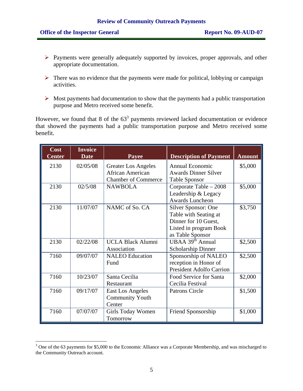- ¾ Payments were generally adequately supported by invoices, proper approvals, and other appropriate documentation.
- $\triangleright$  There was no evidence that the payments were made for political, lobbying or campaign activities.
- $\triangleright$  Most payments had documentation to show that the payments had a public transportation purpose and Metro received some benefit.

However, we found that 8 of the  $63<sup>3</sup>$  payments reviewed lacked documentation or evidence that showed the payments had a public transportation purpose and Metro received some benefit.

| Cost<br><b>Center</b> | <b>Invoice</b><br><b>Date</b> | Payee                                                                        | <b>Description of Payment</b>                                                                                      | <b>Amount</b> |
|-----------------------|-------------------------------|------------------------------------------------------------------------------|--------------------------------------------------------------------------------------------------------------------|---------------|
| 2130                  | 02/05/08                      | <b>Greater Los Angeles</b><br>African American<br><b>Chamber of Commerce</b> | <b>Annual Economic</b><br><b>Awards Dinner Silver</b><br><b>Table Sponsor</b>                                      | \$5,000       |
| 2130                  | 02/5/08                       | <b>NAWBOLA</b>                                                               | Corporate Table - 2008<br>Leadership & Legacy<br><b>Awards Luncheon</b>                                            | \$5,000       |
| 2130                  | 11/07/07                      | NAMC of So. CA                                                               | Silver Sponsor: One<br>Table with Seating at<br>Dinner for 10 Guest,<br>Listed in program Book<br>as Table Sponsor | \$3,750       |
| 2130                  | 02/22/08                      | <b>UCLA Black Alumni</b><br>Association                                      | UBAA 39 <sup>th</sup> Annual<br><b>Scholarship Dinner</b>                                                          | \$2,500       |
| 7160                  | 09/07/07                      | <b>NALEO</b> Education<br>Fund                                               | Sponsorship of NALEO<br>reception in Honor of<br><b>President Adolfo Carrion</b>                                   | \$2,500       |
| 7160                  | 10/23/07                      | Santa Cecilia<br>Restaurant                                                  | Food Service for Santa<br>Cecilia Festival                                                                         | \$2,000       |
| 7160                  | 09/17/07                      | <b>East Los Angeles</b><br><b>Community Youth</b><br>Center                  | <b>Patrons Circle</b>                                                                                              | \$1,500       |
| 7160                  | 07/07/07                      | <b>Girls Today Women</b><br><b>Tomorrow</b>                                  | Friend Sponsorship                                                                                                 | \$1,000       |

<sup>&</sup>lt;sup>3</sup> One of the 63 payments for \$5,000 to the Economic Alliance was a Corporate Membership, and was mischarged to the Community Outreach account.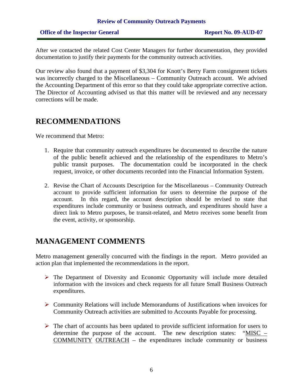After we contacted the related Cost Center Managers for further documentation, they provided documentation to justify their payments for the community outreach activities.

Our review also found that a payment of \$3,304 for Knott's Berry Farm consignment tickets was incorrectly charged to the Miscellaneous – Community Outreach account. We advised the Accounting Department of this error so that they could take appropriate corrective action. The Director of Accounting advised us that this matter will be reviewed and any necessary corrections will be made.

## **RECOMMENDATIONS**

We recommend that Metro:

- 1. Require that community outreach expenditures be documented to describe the nature of the public benefit achieved and the relationship of the expenditures to Metro's public transit purposes. The documentation could be incorporated in the check request, invoice, or other documents recorded into the Financial Information System.
- 2. Revise the Chart of Accounts Description for the Miscellaneous Community Outreach account to provide sufficient information for users to determine the purpose of the account. In this regard, the account description should be revised to state that expenditures include community or business outreach, and expenditures should have a direct link to Metro purposes, be transit-related, and Metro receives some benefit from the event, activity, or sponsorship.

## **MANAGEMENT COMMENTS**

Metro management generally concurred with the findings in the report. Metro provided an action plan that implemented the recommendations in the report.

- $\triangleright$  The Department of Diversity and Economic Opportunity will include more detailed information with the invoices and check requests for all future Small Business Outreach expenditures.
- ¾ Community Relations will include Memorandums of Justifications when invoices for Community Outreach activities are submitted to Accounts Payable for processing.
- $\triangleright$  The chart of accounts has been updated to provide sufficient information for users to determine the purpose of the account. The new description states: "MISC – COMMUNITY OUTREACH – the expenditures include community or business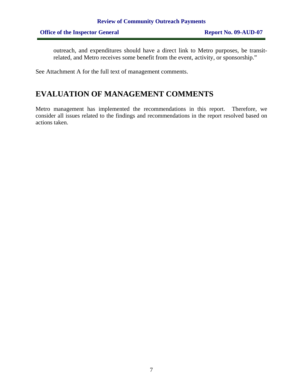outreach, and expenditures should have a direct link to Metro purposes, be transitrelated, and Metro receives some benefit from the event, activity, or sponsorship."

See Attachment A for the full text of management comments.

## **EVALUATION OF MANAGEMENT COMMENTS**

Metro management has implemented the recommendations in this report. Therefore, we consider all issues related to the findings and recommendations in the report resolved based on actions taken.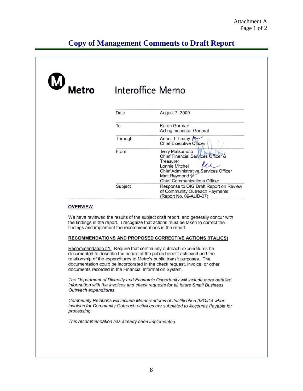## **Copy of Management Comments to Draft Report**

| Metro           | Interoffice Memo                                          |                                                                                                                                                                                                                                              |  |
|-----------------|-----------------------------------------------------------|----------------------------------------------------------------------------------------------------------------------------------------------------------------------------------------------------------------------------------------------|--|
|                 | Date                                                      | August 7, 2009                                                                                                                                                                                                                               |  |
|                 | To                                                        | Karen Gorman<br><b>Acting Inspector General</b>                                                                                                                                                                                              |  |
|                 | Through                                                   | Arthur T. Leahy<br><b>Chief Executive Officer</b>                                                                                                                                                                                            |  |
|                 | From                                                      | <b>Terry Matsumoto</b><br>Chief Financial Services Officer &<br>Treasurer<br>$\mu$<br>Lonnie Mitchell<br><b>Chief Administrative Services Officer</b><br>Matt Raymond \\<br><b>Chief Communications Officer</b>                              |  |
|                 | Subject                                                   | Response to OIG Draft Report on Review<br>of Community Outreach Payments<br>(Report No. 09-AUD-07)                                                                                                                                           |  |
| <b>OVERVIEW</b> | findings and implement the recommendations in the report. | We have reviewed the results of the subject draft report, and generally concur with<br>the findings in the report. I recognize that actions must be taken to correct the<br><b>RECOMMENDATIONS AND PROPOSED CORRECTIVE ACTIONS (ITALICS)</b> |  |
|                 |                                                           | Recommendation #1: Require that community outreach expenditures be<br>documented to describe the nature of the public benefit achieved and the                                                                                               |  |
|                 | documents recorded in the Financial Information System.   | relationship of the expenditures to Metro's public transit purposes. The<br>documentation could be incorporated in the check request, invoice, or other                                                                                      |  |

This recommendation has already been implemented.

processing.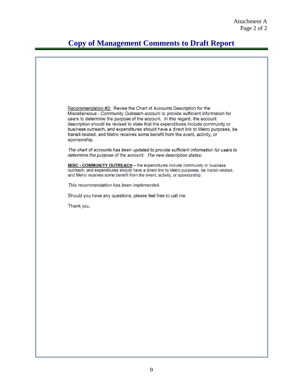## **Copy of Management Comments to Draft Report**

Recommendation #2: Revise the Chart of Accounts Description for the Miscellaneous - Community Outreach account to provide sufficient information for users to determine the purpose of the account. In this regard, the account description should be revised to state that the expenditures include community or business outreach, and expenditures should have a direct link to Metro purposes, be transit-related, and Metro receives some benefit from the event, activity, or sponsorship. The chart of accounts has been updated to provide sufficient information for users to determine the purpose of the account. The new description states: MISC - COMMUNITY OUTREACH - the expenditures include community or business outreach, and expenditures should have a direct link to Metro purposes, be transit-related, and Metro receives some benefit from the event, activity, or sponsorship. This recommendation has been implemented. Should you have any questions, please feel free to call me. Thank you.